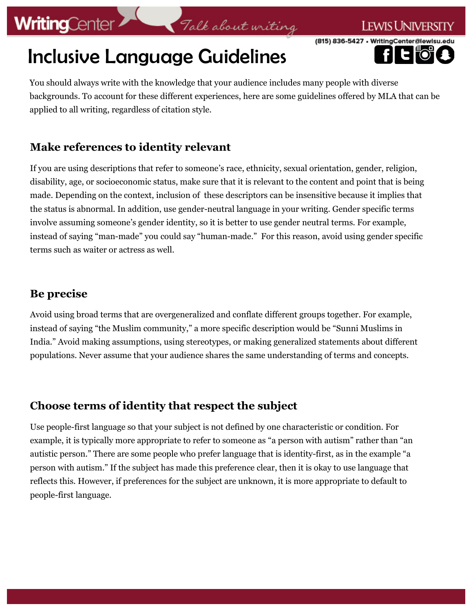# **WritingCenter**

### (815) 836-5427 · WritingCenter@lewisu

# Inclusive Language Guidelines

I ewist Iniversity

You should always write with the knowledge that your audience includes many people with diverse backgrounds. To account for these different experiences, here are some guidelines offered by MLA that can be applied to all writing, regardless of citation style.

Talk about writing

### **Make references to identity relevant**

If you are using descriptions that refer to someone's race, ethnicity, sexual orientation, gender, religion, disability, age, or socioeconomic status, make sure that it is relevant to the content and point that is being made. Depending on the context, inclusion of these descriptors can be insensitive because it implies that the status is abnormal. In addition, use gender-neutral language in your writing. Gender specific terms involve assuming someone's gender identity, so it is better to use gender neutral terms. For example, instead of saying "man-made" you could say "human-made." For this reason, avoid using gender specific terms such as waiter or actress as well.

### **Be precise**

Avoid using broad terms that are overgeneralized and conflate different groups together. For example, instead of saying "the Muslim community," a more specific description would be "Sunni Muslims in India." Avoid making assumptions, using stereotypes, or making generalized statements about different populations. Never assume that your audience shares the same understanding of terms and concepts.

### **Choose terms of identity that respect the subject**

Use people-first language so that your subject is not defined by one characteristic or condition. For example, it is typically more appropriate to refer to someone as "a person with autism" rather than "an autistic person." There are some people who prefer language that is identity-first, as in the example "a person with autism." If the subject has made this preference clear, then it is okay to use language that reflects this. However, if preferences for the subject are unknown, it is more appropriate to default to people-first language.